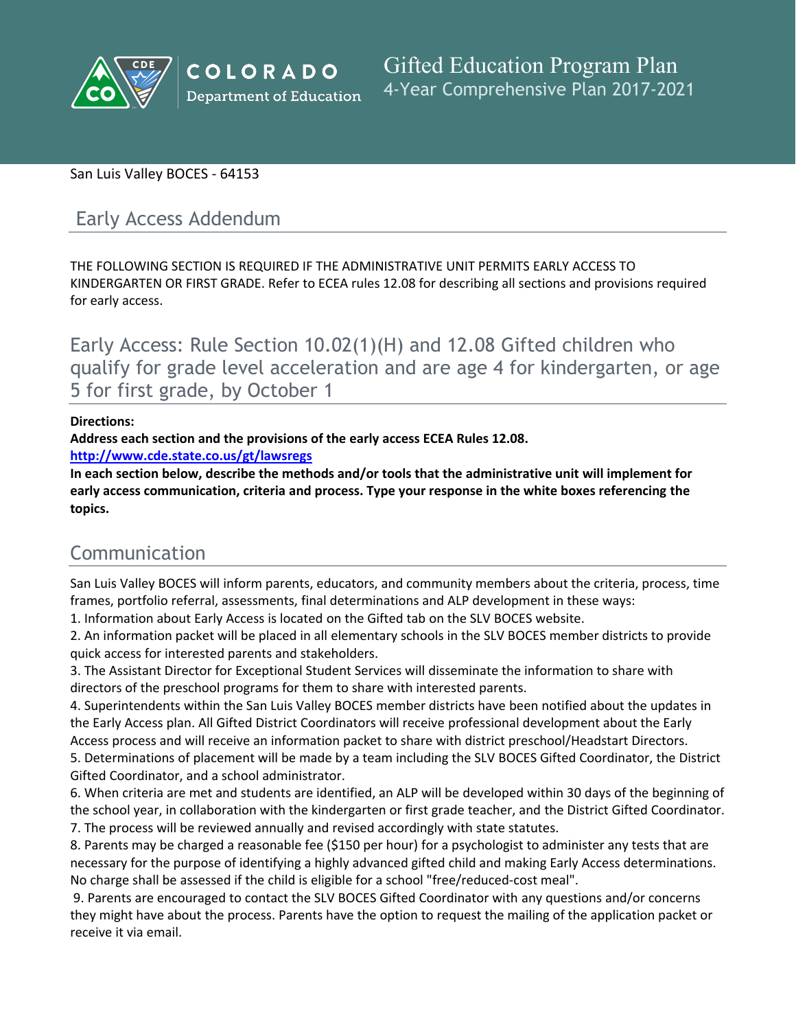

#### San Luis Valley BOCES - 64153

## Early Access Addendum

THE FOLLOWING SECTION IS REQUIRED IF THE ADMINISTRATIVE UNIT PERMITS EARLY ACCESS TO KINDERGARTEN OR FIRST GRADE. Refer to ECEA rules 12.08 for describing all sections and provisions required for early access.

Early Access: Rule Section 10.02(1)(H) and 12.08 Gifted children who qualify for grade level acceleration and are age 4 for kindergarten, or age 5 for first grade, by October 1

#### **Directions:**

**Address each section and the provisions of the early access ECEA Rules 12.08.**

**<http://www.cde.state.co.us/gt/lawsregs>**

**In each section below, describe the methods and/or tools that the administrative unit will implement for early access communication, criteria and process. Type your response in the white boxes referencing the topics.**

# Communication

San Luis Valley BOCES will inform parents, educators, and community members about the criteria, process, time frames, portfolio referral, assessments, final determinations and ALP development in these ways:

1. Information about Early Access is located on the Gifted tab on the SLV BOCES website.

2. An information packet will be placed in all elementary schools in the SLV BOCES member districts to provide quick access for interested parents and stakeholders.

3. The Assistant Director for Exceptional Student Services will disseminate the information to share with directors of the preschool programs for them to share with interested parents.

4. Superintendents within the San Luis Valley BOCES member districts have been notified about the updates in the Early Access plan. All Gifted District Coordinators will receive professional development about the Early Access process and will receive an information packet to share with district preschool/Headstart Directors.

5. Determinations of placement will be made by a team including the SLV BOCES Gifted Coordinator, the District Gifted Coordinator, and a school administrator.

6. When criteria are met and students are identified, an ALP will be developed within 30 days of the beginning of the school year, in collaboration with the kindergarten or first grade teacher, and the District Gifted Coordinator. 7. The process will be reviewed annually and revised accordingly with state statutes.

8. Parents may be charged a reasonable fee (\$150 per hour) for a psychologist to administer any tests that are necessary for the purpose of identifying a highly advanced gifted child and making Early Access determinations. No charge shall be assessed if the child is eligible for a school "free/reduced-cost meal".

9. Parents are encouraged to contact the SLV BOCES Gifted Coordinator with any questions and/or concerns they might have about the process. Parents have the option to request the mailing of the application packet or receive it via email.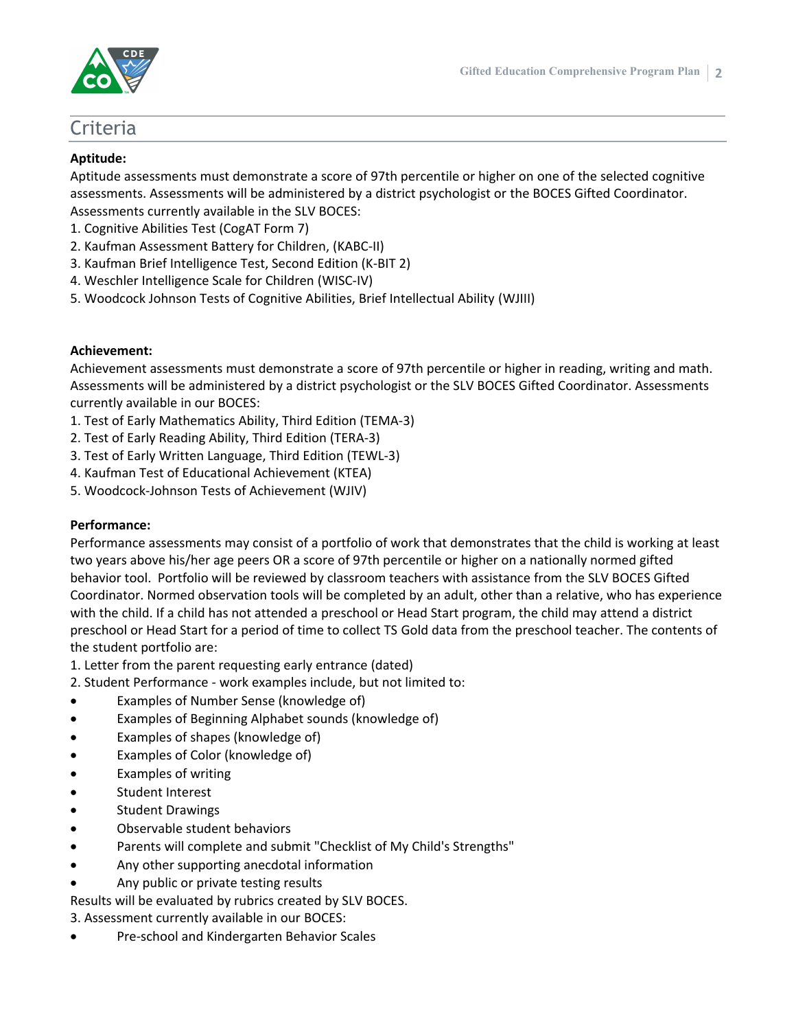



### Criteria

#### **Aptitude:**

Aptitude assessments must demonstrate a score of 97th percentile or higher on one of the selected cognitive assessments. Assessments will be administered by a district psychologist or the BOCES Gifted Coordinator. Assessments currently available in the SLV BOCES:

- 1. Cognitive Abilities Test (CogAT Form 7)
- 2. Kaufman Assessment Battery for Children, (KABC-II)
- 3. Kaufman Brief Intelligence Test, Second Edition (K-BIT 2)
- 4. Weschler Intelligence Scale for Children (WISC-IV)
- 5. Woodcock Johnson Tests of Cognitive Abilities, Brief Intellectual Ability (WJIII)

#### **Achievement:**

Achievement assessments must demonstrate a score of 97th percentile or higher in reading, writing and math. Assessments will be administered by a district psychologist or the SLV BOCES Gifted Coordinator. Assessments currently available in our BOCES:

- 1. Test of Early Mathematics Ability, Third Edition (TEMA-3)
- 2. Test of Early Reading Ability, Third Edition (TERA-3)
- 3. Test of Early Written Language, Third Edition (TEWL-3)
- 4. Kaufman Test of Educational Achievement (KTEA)
- 5. Woodcock-Johnson Tests of Achievement (WJIV)

#### **Performance:**

Performance assessments may consist of a portfolio of work that demonstrates that the child is working at least two years above his/her age peers OR a score of 97th percentile or higher on a nationally normed gifted behavior tool. Portfolio will be reviewed by classroom teachers with assistance from the SLV BOCES Gifted Coordinator. Normed observation tools will be completed by an adult, other than a relative, who has experience with the child. If a child has not attended a preschool or Head Start program, the child may attend a district preschool or Head Start for a period of time to collect TS Gold data from the preschool teacher. The contents of the student portfolio are:

- 1. Letter from the parent requesting early entrance (dated)
- 2. Student Performance work examples include, but not limited to:
- Examples of Number Sense (knowledge of)
- Examples of Beginning Alphabet sounds (knowledge of)
- Examples of shapes (knowledge of)
- Examples of Color (knowledge of)
- Examples of writing
- Student Interest
- Student Drawings
- Observable student behaviors
- Parents will complete and submit "Checklist of My Child's Strengths"
- Any other supporting anecdotal information
- Any public or private testing results
- Results will be evaluated by rubrics created by SLV BOCES.

3. Assessment currently available in our BOCES:

Pre-school and Kindergarten Behavior Scales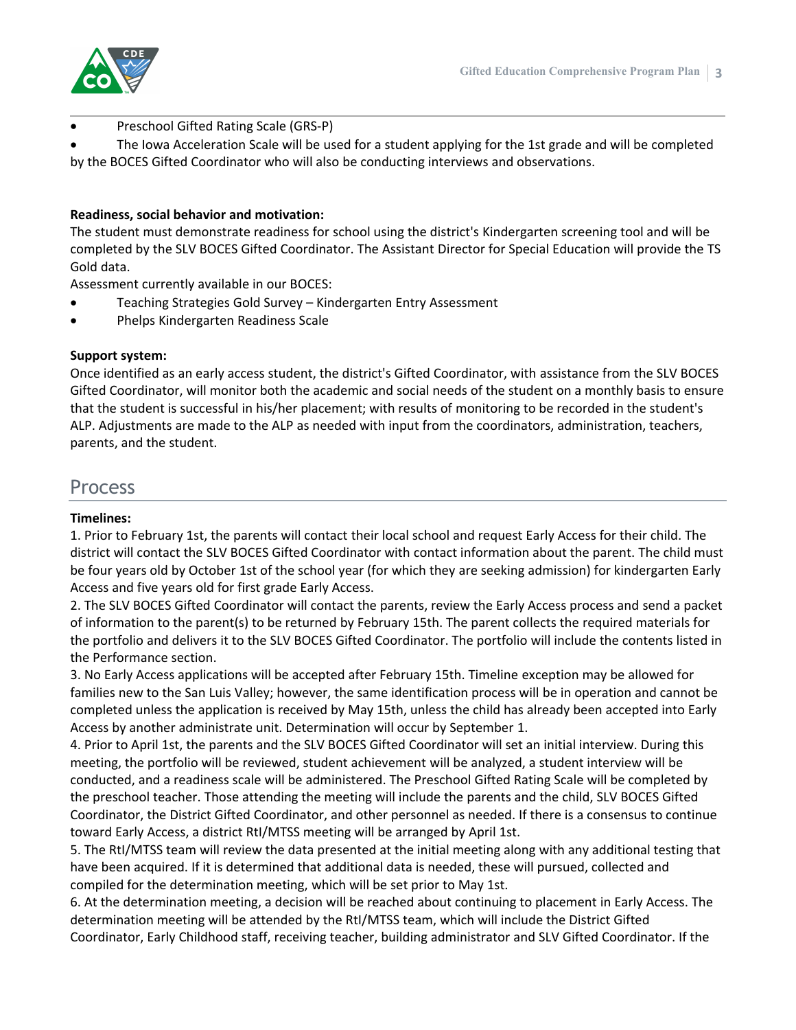

Preschool Gifted Rating Scale (GRS-P)

 The Iowa Acceleration Scale will be used for a student applying for the 1st grade and will be completed by the BOCES Gifted Coordinator who will also be conducting interviews and observations.

#### **Readiness, social behavior and motivation:**

The student must demonstrate readiness for school using the district's Kindergarten screening tool and will be completed by the SLV BOCES Gifted Coordinator. The Assistant Director for Special Education will provide the TS Gold data.

Assessment currently available in our BOCES:

- Teaching Strategies Gold Survey Kindergarten Entry Assessment
- Phelps Kindergarten Readiness Scale

#### **Support system:**

Once identified as an early access student, the district's Gifted Coordinator, with assistance from the SLV BOCES Gifted Coordinator, will monitor both the academic and social needs of the student on a monthly basis to ensure that the student is successful in his/her placement; with results of monitoring to be recorded in the student's ALP. Adjustments are made to the ALP as needed with input from the coordinators, administration, teachers, parents, and the student.

### Process

#### **Timelines:**

1. Prior to February 1st, the parents will contact their local school and request Early Access for their child. The district will contact the SLV BOCES Gifted Coordinator with contact information about the parent. The child must be four years old by October 1st of the school year (for which they are seeking admission) for kindergarten Early Access and five years old for first grade Early Access.

2. The SLV BOCES Gifted Coordinator will contact the parents, review the Early Access process and send a packet of information to the parent(s) to be returned by February 15th. The parent collects the required materials for the portfolio and delivers it to the SLV BOCES Gifted Coordinator. The portfolio will include the contents listed in the Performance section.

3. No Early Access applications will be accepted after February 15th. Timeline exception may be allowed for families new to the San Luis Valley; however, the same identification process will be in operation and cannot be completed unless the application is received by May 15th, unless the child has already been accepted into Early Access by another administrate unit. Determination will occur by September 1.

4. Prior to April 1st, the parents and the SLV BOCES Gifted Coordinator will set an initial interview. During this meeting, the portfolio will be reviewed, student achievement will be analyzed, a student interview will be conducted, and a readiness scale will be administered. The Preschool Gifted Rating Scale will be completed by the preschool teacher. Those attending the meeting will include the parents and the child, SLV BOCES Gifted Coordinator, the District Gifted Coordinator, and other personnel as needed. If there is a consensus to continue toward Early Access, a district RtI/MTSS meeting will be arranged by April 1st.

5. The RtI/MTSS team will review the data presented at the initial meeting along with any additional testing that have been acquired. If it is determined that additional data is needed, these will pursued, collected and compiled for the determination meeting, which will be set prior to May 1st.

6. At the determination meeting, a decision will be reached about continuing to placement in Early Access. The determination meeting will be attended by the RtI/MTSS team, which will include the District Gifted Coordinator, Early Childhood staff, receiving teacher, building administrator and SLV Gifted Coordinator. If the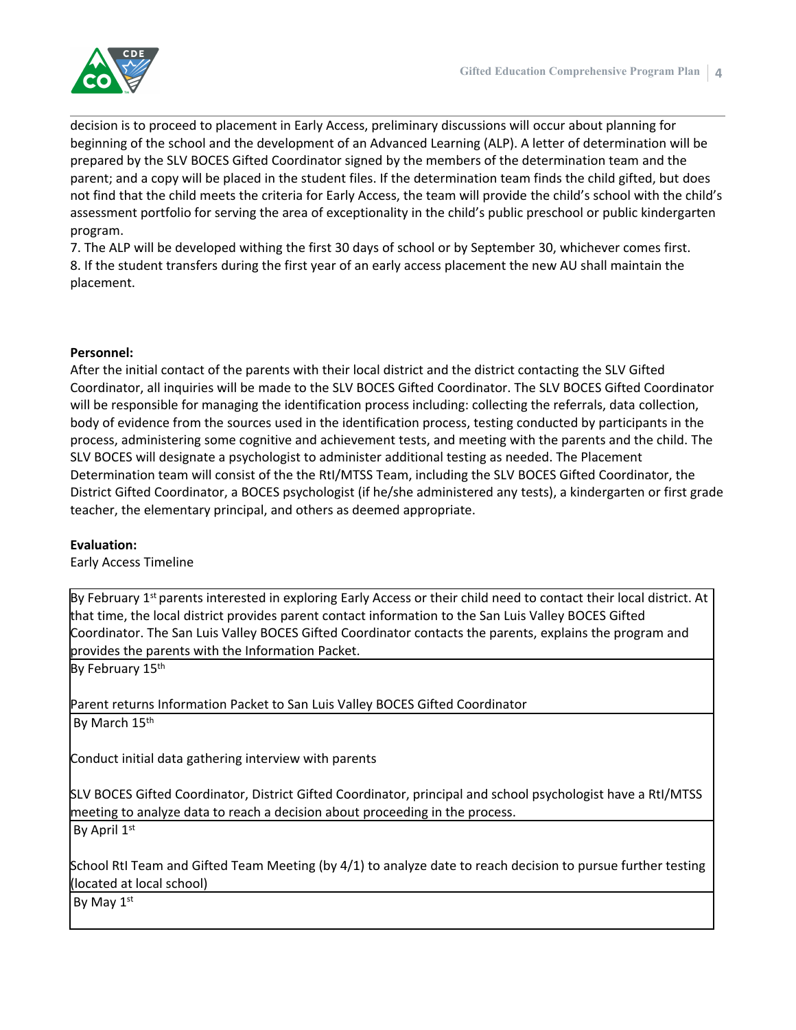

decision is to proceed to placement in Early Access, preliminary discussions will occur about planning for beginning of the school and the development of an Advanced Learning (ALP). A letter of determination will be prepared by the SLV BOCES Gifted Coordinator signed by the members of the determination team and the parent; and a copy will be placed in the student files. If the determination team finds the child gifted, but does not find that the child meets the criteria for Early Access, the team will provide the child's school with the child's assessment portfolio for serving the area of exceptionality in the child's public preschool or public kindergarten program.

7. The ALP will be developed withing the first 30 days of school or by September 30, whichever comes first. 8. If the student transfers during the first year of an early access placement the new AU shall maintain the placement.

#### **Personnel:**

After the initial contact of the parents with their local district and the district contacting the SLV Gifted Coordinator, all inquiries will be made to the SLV BOCES Gifted Coordinator. The SLV BOCES Gifted Coordinator will be responsible for managing the identification process including: collecting the referrals, data collection, body of evidence from the sources used in the identification process, testing conducted by participants in the process, administering some cognitive and achievement tests, and meeting with the parents and the child. The SLV BOCES will designate a psychologist to administer additional testing as needed. The Placement Determination team will consist of the the RtI/MTSS Team, including the SLV BOCES Gifted Coordinator, the District Gifted Coordinator, a BOCES psychologist (if he/she administered any tests), a kindergarten or first grade teacher, the elementary principal, and others as deemed appropriate.

#### **Evaluation:**

Early Access Timeline

By February 1<sup>st</sup> parents interested in exploring Early Access or their child need to contact their local district. At that time, the local district provides parent contact information to the San Luis Valley BOCES Gifted Coordinator. The San Luis Valley BOCES Gifted Coordinator contacts the parents, explains the program and provides the parents with the Information Packet.

By February 15<sup>th</sup>

Parent returns Information Packet to San Luis Valley BOCES Gifted Coordinator By March 15<sup>th</sup>

Conduct initial data gathering interview with parents

SLV BOCES Gifted Coordinator, District Gifted Coordinator, principal and school psychologist have a RtI/MTSS meeting to analyze data to reach a decision about proceeding in the process.

By April 1st

School RtI Team and Gifted Team Meeting (by 4/1) to analyze date to reach decision to pursue further testing (located at local school)

By May 1st